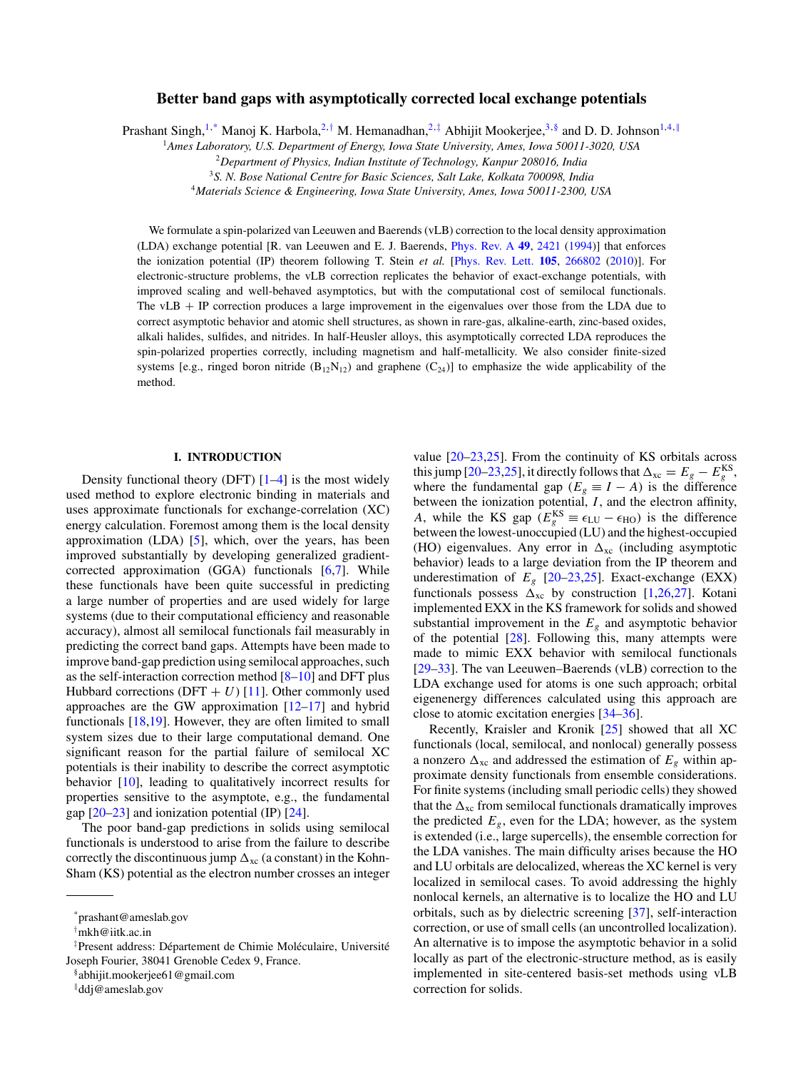# **Better band gaps with asymptotically corrected local exchange potentials**

Prashant Singh,<sup>1,\*</sup> Manoj K. Harbola,<sup>2,†</sup> M. Hemanadhan,<sup>2,‡</sup> Abhijit Mookerjee,<sup>3,§</sup> and D. D. Johnson<sup>1,4,∥</sup>

<sup>1</sup>*Ames Laboratory, U.S. Department of Energy, Iowa State University, Ames, Iowa 50011-3020, USA*

<sup>2</sup>*Department of Physics, Indian Institute of Technology, Kanpur 208016, India*

<sup>3</sup>*S. N. Bose National Centre for Basic Sciences, Salt Lake, Kolkata 700098, India*

4*Materials Science & Engineering, Iowa State University, Ames, Iowa 50011-2300, USA*

We formulate a spin-polarized van Leeuwen and Baerends (vLB) correction to the local density approximation (LDA) exchange potential [R. van Leeuwen and E. J. Baerends, [Phys. Rev. A](http://dx.doi.org/10.1103/PhysRevA.49.2421) **[49](http://dx.doi.org/10.1103/PhysRevA.49.2421)**, [2421](http://dx.doi.org/10.1103/PhysRevA.49.2421) [\(1994\)](http://dx.doi.org/10.1103/PhysRevA.49.2421)] that enforces the ionization potential (IP) theorem following T. Stein *et al.* [\[Phys. Rev. Lett.](http://dx.doi.org/10.1103/PhysRevLett.105.266802) **[105](http://dx.doi.org/10.1103/PhysRevLett.105.266802)**, [266802](http://dx.doi.org/10.1103/PhysRevLett.105.266802) [\(2010\)](http://dx.doi.org/10.1103/PhysRevLett.105.266802)]. For electronic-structure problems, the vLB correction replicates the behavior of exact-exchange potentials, with improved scaling and well-behaved asymptotics, but with the computational cost of semilocal functionals. The vLB + IP correction produces a large improvement in the eigenvalues over those from the LDA due to correct asymptotic behavior and atomic shell structures, as shown in rare-gas, alkaline-earth, zinc-based oxides, alkali halides, sulfides, and nitrides. In half-Heusler alloys, this asymptotically corrected LDA reproduces the spin-polarized properties correctly, including magnetism and half-metallicity. We also consider finite-sized systems [e.g., ringed boron nitride  $(B_{12}N_{12})$  and graphene  $(C_{24})$ ] to emphasize the wide applicability of the method.

# **I. INTRODUCTION**

Density functional theory (DFT)  $[1-4]$  is the most widely used method to explore electronic binding in materials and uses approximate functionals for exchange-correlation (XC) energy calculation. Foremost among them is the local density approximation  $(LDA)$  [\[5\]](#page-5-0), which, over the years, has been improved substantially by developing generalized gradientcorrected approximation (GGA) functionals [\[6,7\]](#page-5-0). While these functionals have been quite successful in predicting a large number of properties and are used widely for large systems (due to their computational efficiency and reasonable accuracy), almost all semilocal functionals fail measurably in predicting the correct band gaps. Attempts have been made to improve band-gap prediction using semilocal approaches, such as the self-interaction correction method [\[8–10\]](#page-5-0) and DFT plus Hubbard corrections (DFT  $+ U$ ) [\[11\]](#page-5-0). Other commonly used approaches are the GW approximation  $[12-17]$  $[12-17]$  and hybrid functionals [\[18,19\]](#page-6-0). However, they are often limited to small system sizes due to their large computational demand. One significant reason for the partial failure of semilocal XC potentials is their inability to describe the correct asymptotic behavior [\[10\]](#page-5-0), leading to qualitatively incorrect results for properties sensitive to the asymptote, e.g., the fundamental gap  $[20-23]$  and ionization potential (IP)  $[24]$ .

The poor band-gap predictions in solids using semilocal functionals is understood to arise from the failure to describe correctly the discontinuous jump  $\Delta_{\text{xc}}$  (a constant) in the Kohn-Sham (KS) potential as the electron number crosses an integer value [\[20–23,25\]](#page-6-0). From the continuity of KS orbitals across this jump [\[20–23,25\]](#page-6-0), it directly follows that  $\Delta_{\text{xc}} = E_g - E_g^{\text{KS}}$ , where the fundamental gap ( $E_g \equiv I - A$ ) is the difference between the ionization potential, *I*, and the electron affinity, *A*, while the KS gap ( $E_g^{\text{KS}} \equiv \epsilon_{\text{LU}} - \epsilon_{\text{HO}}$ ) is the difference between the lowest-unoccupied (LU) and the highest-occupied (HO) eigenvalues. Any error in  $\Delta_{\text{xc}}$  (including asymptotic behavior) leads to a large deviation from the IP theorem and underestimation of  $E_g$  [\[20–23,25\]](#page-6-0). Exact-exchange (EXX) functionals possess  $\Delta_{\text{xc}}$  by construction [\[1,](#page-5-0)[26,27\]](#page-6-0). Kotani implemented EXX in the KS framework for solids and showed substantial improvement in the  $E<sub>g</sub>$  and asymptotic behavior of the potential [\[28\]](#page-6-0). Following this, many attempts were made to mimic EXX behavior with semilocal functionals [\[29–33\]](#page-6-0). The van Leeuwen–Baerends (vLB) correction to the LDA exchange used for atoms is one such approach; orbital eigenenergy differences calculated using this approach are close to atomic excitation energies [\[34–36\]](#page-6-0).

Recently, Kraisler and Kronik [\[25\]](#page-6-0) showed that all XC functionals (local, semilocal, and nonlocal) generally possess a nonzero  $\Delta_{\text{xc}}$  and addressed the estimation of  $E_g$  within approximate density functionals from ensemble considerations. For finite systems (including small periodic cells) they showed that the  $\Delta_{\text{xc}}$  from semilocal functionals dramatically improves the predicted  $E_g$ , even for the LDA; however, as the system is extended (i.e., large supercells), the ensemble correction for the LDA vanishes. The main difficulty arises because the HO and LU orbitals are delocalized, whereas the XC kernel is very localized in semilocal cases. To avoid addressing the highly nonlocal kernels, an alternative is to localize the HO and LU orbitals, such as by dielectric screening [\[37\]](#page-6-0), self-interaction correction, or use of small cells (an uncontrolled localization). An alternative is to impose the asymptotic behavior in a solid locally as part of the electronic-structure method, as is easily implemented in site-centered basis-set methods using vLB correction for solids.

<sup>\*</sup>prashant@ameslab.gov

<sup>†</sup> mkh@iitk.ac.in

<sup>‡</sup>Present address: Département de Chimie Moléculaire, Université Joseph Fourier, 38041 Grenoble Cedex 9, France.

<sup>§</sup>abhijit.mookerjee61@gmail.com

<sup>-</sup>ddj@ameslab.gov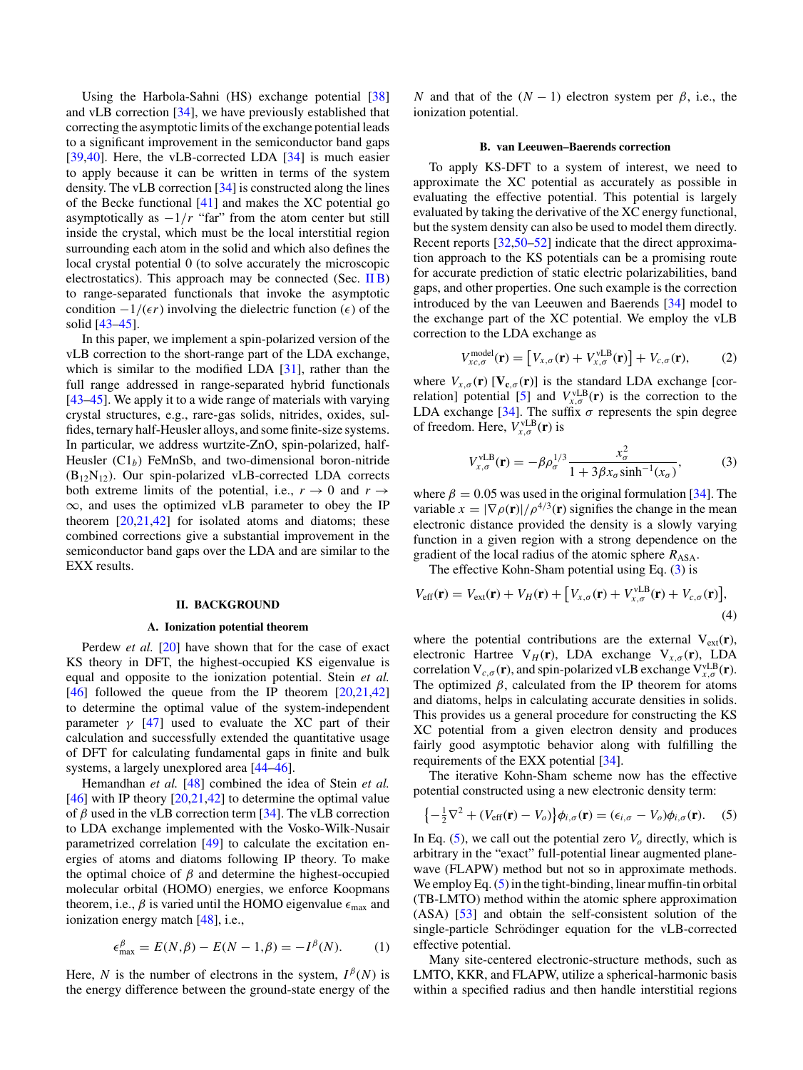<span id="page-1-0"></span>Using the Harbola-Sahni (HS) exchange potential [\[38\]](#page-6-0) and vLB correction [\[34\]](#page-6-0), we have previously established that correcting the asymptotic limits of the exchange potential leads to a significant improvement in the semiconductor band gaps [\[39,40\]](#page-6-0). Here, the vLB-corrected LDA [\[34\]](#page-6-0) is much easier to apply because it can be written in terms of the system density. The vLB correction [\[34\]](#page-6-0) is constructed along the lines of the Becke functional [\[41\]](#page-6-0) and makes the XC potential go asymptotically as  $-1/r$  "far" from the atom center but still inside the crystal, which must be the local interstitial region surrounding each atom in the solid and which also defines the local crystal potential 0 (to solve accurately the microscopic electrostatics). This approach may be connected (Sec. IIB) to range-separated functionals that invoke the asymptotic condition  $-1/(\epsilon r)$  involving the dielectric function ( $\epsilon$ ) of the solid [\[43–45\]](#page-6-0).

In this paper, we implement a spin-polarized version of the vLB correction to the short-range part of the LDA exchange, which is similar to the modified LDA  $[31]$ , rather than the full range addressed in range-separated hybrid functionals [\[43–45\]](#page-6-0). We apply it to a wide range of materials with varying crystal structures, e.g., rare-gas solids, nitrides, oxides, sulfides, ternary half-Heusler alloys, and some finite-size systems. In particular, we address wurtzite-ZnO, spin-polarized, half-Heusler  $(Cl<sub>b</sub>)$  FeMnSb, and two-dimensional boron-nitride  $(B_{12}N_{12})$ . Our spin-polarized vLB-corrected LDA corrects both extreme limits of the potential, i.e.,  $r \to 0$  and  $r \to$  $\infty$ , and uses the optimized vLB parameter to obey the IP theorem  $[20,21,42]$  for isolated atoms and diatoms; these combined corrections give a substantial improvement in the semiconductor band gaps over the LDA and are similar to the EXX results.

# **II. BACKGROUND**

#### **A. Ionization potential theorem**

Perdew *et al.* [\[20\]](#page-6-0) have shown that for the case of exact KS theory in DFT, the highest-occupied KS eigenvalue is equal and opposite to the ionization potential. Stein *et al.* [\[46\]](#page-6-0) followed the queue from the IP theorem  $[20,21,42]$ to determine the optimal value of the system-independent parameter  $\gamma$  [\[47\]](#page-6-0) used to evaluate the XC part of their calculation and successfully extended the quantitative usage of DFT for calculating fundamental gaps in finite and bulk systems, a largely unexplored area [\[44–46\]](#page-6-0).

Hemandhan *et al.* [\[48\]](#page-6-0) combined the idea of Stein *et al.*  $[46]$  with IP theory  $[20,21,42]$  to determine the optimal value of  $\beta$  used in the vLB correction term [\[34\]](#page-6-0). The vLB correction to LDA exchange implemented with the Vosko-Wilk-Nusair parametrized correlation [\[49\]](#page-6-0) to calculate the excitation energies of atoms and diatoms following IP theory. To make the optimal choice of  $\beta$  and determine the highest-occupied molecular orbital (HOMO) energies, we enforce Koopmans theorem, i.e.,  $\beta$  is varied until the HOMO eigenvalue  $\epsilon_{\text{max}}$  and ionization energy match [\[48\]](#page-6-0), i.e.,

$$
\epsilon_{\text{max}}^{\beta} = E(N, \beta) - E(N - 1, \beta) = -I^{\beta}(N). \tag{1}
$$

Here, *N* is the number of electrons in the system,  $I^{\beta}(N)$  is the energy difference between the ground-state energy of the *N* and that of the  $(N - 1)$  electron system per  $\beta$ , i.e., the ionization potential.

#### **B. van Leeuwen–Baerends correction**

To apply KS-DFT to a system of interest, we need to approximate the XC potential as accurately as possible in evaluating the effective potential. This potential is largely evaluated by taking the derivative of the XC energy functional, but the system density can also be used to model them directly. Recent reports [\[32,50–52\]](#page-6-0) indicate that the direct approximation approach to the KS potentials can be a promising route for accurate prediction of static electric polarizabilities, band gaps, and other properties. One such example is the correction introduced by the van Leeuwen and Baerends [\[34\]](#page-6-0) model to the exchange part of the XC potential. We employ the vLB correction to the LDA exchange as

$$
V_{xc,\sigma}^{\text{model}}(\mathbf{r}) = \left[ V_{x,\sigma}(\mathbf{r}) + V_{x,\sigma}^{\text{VLB}}(\mathbf{r}) \right] + V_{c,\sigma}(\mathbf{r}), \quad (2)
$$

where  $V_{x,\sigma}(\mathbf{r})$  [ $V_{\mathbf{c},\sigma}(\mathbf{r})$ ] is the standard LDA exchange [cor-relation] potential [\[5\]](#page-5-0) and  $V_{x,\sigma}^{\text{vLB}}(\mathbf{r})$  is the correction to the LDA exchange [\[34\]](#page-6-0). The suffix  $\sigma$  represents the spin degree of freedom. Here,  $V_{x,\sigma}^{\text{vLB}}(\mathbf{r})$  is

$$
V_{x,\sigma}^{\text{vLB}}(\mathbf{r}) = -\beta \rho_{\sigma}^{1/3} \frac{x_{\sigma}^2}{1 + 3\beta x_{\sigma} \sinh^{-1}(x_{\sigma})},
$$
(3)

where  $\beta = 0.05$  was used in the original formulation [\[34\]](#page-6-0). The variable  $x = |\nabla \rho(\mathbf{r})|/\rho^{4/3}(\mathbf{r})$  signifies the change in the mean electronic distance provided the density is a slowly varying function in a given region with a strong dependence on the gradient of the local radius of the atomic sphere  $R_{\text{ASA}}$ .

The effective Kohn-Sham potential using Eq. (3) is

$$
V_{\text{eff}}(\mathbf{r}) = V_{\text{ext}}(\mathbf{r}) + V_H(\mathbf{r}) + \left[V_{x,\sigma}(\mathbf{r}) + V_{x,\sigma}^{\text{VLB}}(\mathbf{r}) + V_{c,\sigma}(\mathbf{r})\right],\tag{4}
$$

where the potential contributions are the external  $V_{ext}(\mathbf{r})$ , electronic Hartree  $V_H(\mathbf{r})$ , LDA exchange  $V_{x,\sigma}(\mathbf{r})$ , LDA correlation  $V_{c,\sigma}(\mathbf{r})$ , and spin-polarized vLB exchange  $V_{x,\sigma}^{\text{vLB}}(\mathbf{r})$ . The optimized  $\beta$ , calculated from the IP theorem for atoms and diatoms, helps in calculating accurate densities in solids. This provides us a general procedure for constructing the KS XC potential from a given electron density and produces fairly good asymptotic behavior along with fulfilling the requirements of the EXX potential [\[34\]](#page-6-0).

The iterative Kohn-Sham scheme now has the effective potential constructed using a new electronic density term:

$$
\left\{-\frac{1}{2}\nabla^2 + (V_{\text{eff}}(\mathbf{r}) - V_o)\right\}\phi_{i,\sigma}(\mathbf{r}) = (\epsilon_{i,\sigma} - V_o)\phi_{i,\sigma}(\mathbf{r}).
$$
 (5)

In Eq.  $(5)$ , we call out the potential zero  $V<sub>o</sub>$  directly, which is arbitrary in the "exact" full-potential linear augmented planewave (FLAPW) method but not so in approximate methods. We employ Eq. (5) in the tight-binding, linear muffin-tin orbital (TB-LMTO) method within the atomic sphere approximation (ASA) [\[53\]](#page-6-0) and obtain the self-consistent solution of the single-particle Schrödinger equation for the vLB-corrected effective potential.

Many site-centered electronic-structure methods, such as LMTO, KKR, and FLAPW, utilize a spherical-harmonic basis within a specified radius and then handle interstitial regions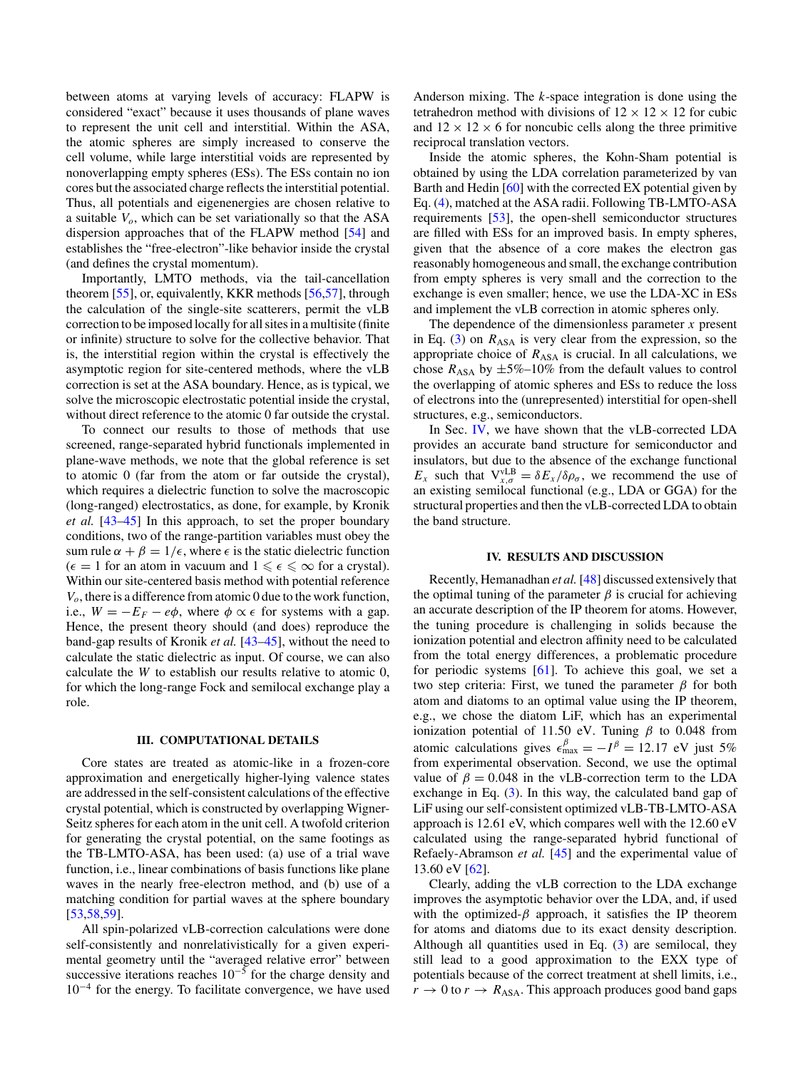between atoms at varying levels of accuracy: FLAPW is considered "exact" because it uses thousands of plane waves to represent the unit cell and interstitial. Within the ASA, the atomic spheres are simply increased to conserve the cell volume, while large interstitial voids are represented by nonoverlapping empty spheres (ESs). The ESs contain no ion cores but the associated charge reflects the interstitial potential. Thus, all potentials and eigenenergies are chosen relative to a suitable  $V<sub>o</sub>$ , which can be set variationally so that the ASA dispersion approaches that of the FLAPW method [\[54\]](#page-6-0) and establishes the "free-electron"-like behavior inside the crystal (and defines the crystal momentum).

Importantly, LMTO methods, via the tail-cancellation theorem [\[55\]](#page-6-0), or, equivalently, KKR methods [\[56,57\]](#page-6-0), through the calculation of the single-site scatterers, permit the vLB correction to be imposed locally for all sites in a multisite (finite or infinite) structure to solve for the collective behavior. That is, the interstitial region within the crystal is effectively the asymptotic region for site-centered methods, where the vLB correction is set at the ASA boundary. Hence, as is typical, we solve the microscopic electrostatic potential inside the crystal, without direct reference to the atomic 0 far outside the crystal.

To connect our results to those of methods that use screened, range-separated hybrid functionals implemented in plane-wave methods, we note that the global reference is set to atomic 0 (far from the atom or far outside the crystal), which requires a dielectric function to solve the macroscopic (long-ranged) electrostatics, as done, for example, by Kronik *et al.* [\[43–45\]](#page-6-0) In this approach, to set the proper boundary conditions, two of the range-partition variables must obey the sum rule  $\alpha + \beta = 1/\epsilon$ , where  $\epsilon$  is the static dielectric function  $(\epsilon = 1$  for an atom in vacuum and  $1 \leq \epsilon \leq \infty$  for a crystal). Within our site-centered basis method with potential reference *Vo*, there is a difference from atomic 0 due to the work function, i.e.,  $W = -E_F - e\phi$ , where  $\phi \propto \epsilon$  for systems with a gap. Hence, the present theory should (and does) reproduce the band-gap results of Kronik *et al.* [\[43–45\]](#page-6-0), without the need to calculate the static dielectric as input. Of course, we can also calculate the *W* to establish our results relative to atomic 0, for which the long-range Fock and semilocal exchange play a role.

# **III. COMPUTATIONAL DETAILS**

Core states are treated as atomic-like in a frozen-core approximation and energetically higher-lying valence states are addressed in the self-consistent calculations of the effective crystal potential, which is constructed by overlapping Wigner-Seitz spheres for each atom in the unit cell. A twofold criterion for generating the crystal potential, on the same footings as the TB-LMTO-ASA, has been used: (a) use of a trial wave function, i.e., linear combinations of basis functions like plane waves in the nearly free-electron method, and (b) use of a matching condition for partial waves at the sphere boundary [\[53,58,59\]](#page-6-0).

All spin-polarized vLB-correction calculations were done self-consistently and nonrelativistically for a given experimental geometry until the "averaged relative error" between successive iterations reaches  $10^{-5}$  for the charge density and 10−<sup>4</sup> for the energy. To facilitate convergence, we have used Anderson mixing. The *k*-space integration is done using the tetrahedron method with divisions of  $12 \times 12 \times 12$  for cubic and  $12 \times 12 \times 6$  for noncubic cells along the three primitive reciprocal translation vectors.

Inside the atomic spheres, the Kohn-Sham potential is obtained by using the LDA correlation parameterized by van Barth and Hedin [\[60\]](#page-6-0) with the corrected EX potential given by Eq. [\(4\)](#page-1-0), matched at the ASA radii. Following TB-LMTO-ASA requirements [\[53\]](#page-6-0), the open-shell semiconductor structures are filled with ESs for an improved basis. In empty spheres, given that the absence of a core makes the electron gas reasonably homogeneous and small, the exchange contribution from empty spheres is very small and the correction to the exchange is even smaller; hence, we use the LDA-XC in ESs and implement the vLB correction in atomic spheres only.

The dependence of the dimensionless parameter *x* present in Eq.  $(3)$  on  $R_{ASA}$  is very clear from the expression, so the appropriate choice of  $R_{\text{ASA}}$  is crucial. In all calculations, we chose  $R_{\text{ASA}}$  by  $\pm 5\% - 10\%$  from the default values to control the overlapping of atomic spheres and ESs to reduce the loss of electrons into the (unrepresented) interstitial for open-shell structures, e.g., semiconductors.

In Sec. IV, we have shown that the vLB-corrected LDA provides an accurate band structure for semiconductor and insulators, but due to the absence of the exchange functional *E<sub>x</sub>* such that  $V_{x,\sigma}^{vLB} = \delta E_x / \delta \rho_\sigma$ , we recommend the use of an existing semilocal functional (e.g., LDA or GGA) for the structural properties and then the vLB-corrected LDA to obtain the band structure.

# **IV. RESULTS AND DISCUSSION**

Recently, Hemanadhan *et al.*[\[48\]](#page-6-0) discussed extensively that the optimal tuning of the parameter  $\beta$  is crucial for achieving an accurate description of the IP theorem for atoms. However, the tuning procedure is challenging in solids because the ionization potential and electron affinity need to be calculated from the total energy differences, a problematic procedure for periodic systems [\[61\]](#page-6-0). To achieve this goal, we set a two step criteria: First, we tuned the parameter *β* for both atom and diatoms to an optimal value using the IP theorem, e.g., we chose the diatom LiF, which has an experimental ionization potential of 11.50 eV. Tuning *β* to 0.048 from atomic calculations gives  $\epsilon_{\text{max}}^{\beta} = -I^{\beta} = 12.17 \text{ eV}$  just 5% from experimental observation. Second, we use the optimal value of  $\beta = 0.048$  in the vLB-correction term to the LDA exchange in Eq. [\(3\)](#page-1-0). In this way, the calculated band gap of LiF using our self-consistent optimized vLB-TB-LMTO-ASA approach is 12.61 eV, which compares well with the 12.60 eV calculated using the range-separated hybrid functional of Refaely-Abramson *et al.* [\[45\]](#page-6-0) and the experimental value of 13.60 eV [\[62\]](#page-6-0).

Clearly, adding the vLB correction to the LDA exchange improves the asymptotic behavior over the LDA, and, if used with the optimized- $\beta$  approach, it satisfies the IP theorem for atoms and diatoms due to its exact density description. Although all quantities used in Eq. [\(3\)](#page-1-0) are semilocal, they still lead to a good approximation to the EXX type of potentials because of the correct treatment at shell limits, i.e.,  $r \to 0$  to  $r \to R_{\text{ASA}}$ . This approach produces good band gaps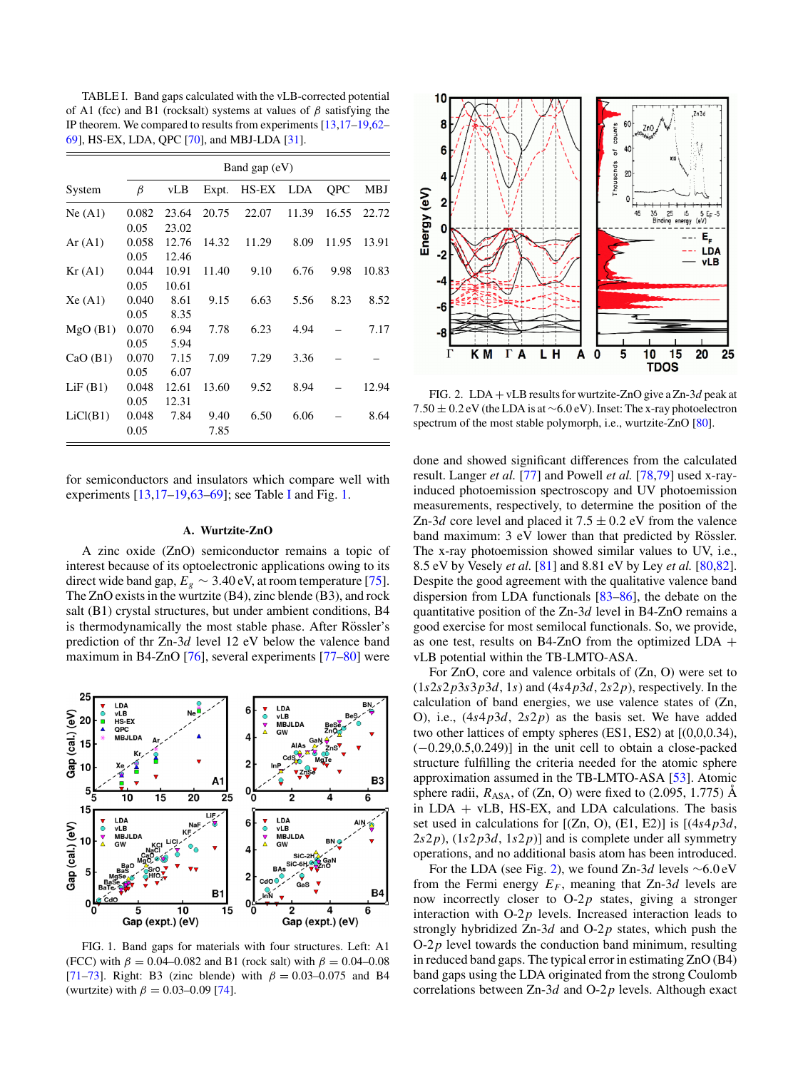TABLE I. Band gaps calculated with the vLB-corrected potential of A1 (fcc) and B1 (rocksalt) systems at values of *β* satisfying the IP theorem. We compared to results from experiments [\[13,](#page-5-0)[17–19,62–](#page-6-0) [69\]](#page-6-0), HS-EX, LDA, QPC [\[70\]](#page-6-0), and MBJ-LDA [\[31\]](#page-6-0).

|          | Band gap $(eV)$ |       |       |       |            |       |       |  |
|----------|-----------------|-------|-------|-------|------------|-------|-------|--|
| System   | β               | vLB   | Expt. | HS-EX | <b>LDA</b> | QPC   | MBJ   |  |
| Ne(A1)   | 0.082           | 23.64 | 20.75 | 22.07 | 11.39      | 16.55 | 22.72 |  |
|          | 0.05            | 23.02 |       |       |            |       |       |  |
| Ar(A1)   | 0.058           | 12.76 | 14.32 | 11.29 | 8.09       | 11.95 | 13.91 |  |
|          | 0.05            | 12.46 |       |       |            |       |       |  |
| Kr(A1)   | 0.044           | 10.91 | 11.40 | 9.10  | 6.76       | 9.98  | 10.83 |  |
|          | 0.05            | 10.61 |       |       |            |       |       |  |
| Xe(A1)   | 0.040           | 8.61  | 9.15  | 6.63  | 5.56       | 8.23  | 8.52  |  |
|          | 0.05            | 8.35  |       |       |            |       |       |  |
| MgO(B1)  | 0.070           | 6.94  | 7.78  | 6.23  | 4.94       |       | 7.17  |  |
|          | 0.05            | 5.94  |       |       |            |       |       |  |
| CaO(B1)  | 0.070           | 7.15  | 7.09  | 7.29  | 3.36       |       |       |  |
|          | 0.05            | 6.07  |       |       |            |       |       |  |
| LiF(B1)  | 0.048           | 12.61 | 13.60 | 9.52  | 8.94       |       | 12.94 |  |
|          | 0.05            | 12.31 |       |       |            |       |       |  |
| LiCl(B1) | 0.048           | 7.84  | 9.40  | 6.50  | 6.06       |       | 8.64  |  |
|          | 0.05            |       | 7.85  |       |            |       |       |  |

for semiconductors and insulators which compare well with experiments [\[13](#page-5-0)[,17–19,63–69\]](#page-6-0); see Table I and Fig. 1.

# **A. Wurtzite-ZnO**

A zinc oxide (ZnO) semiconductor remains a topic of interest because of its optoelectronic applications owing to its direct wide band gap,  $E_g \sim 3.40 \text{ eV}$ , at room temperature [\[75\]](#page-6-0). The ZnO exists in the wurtzite (B4), zinc blende (B3), and rock salt (B1) crystal structures, but under ambient conditions, B4 is thermodynamically the most stable phase. After Rössler's prediction of thr Zn-3*d* level 12 eV below the valence band maximum in B4-ZnO [\[76\]](#page-6-0), several experiments [\[77–80\]](#page-7-0) were



FIG. 1. Band gaps for materials with four structures. Left: A1 (FCC) with  $\beta = 0.04 - 0.082$  and B1 (rock salt) with  $\beta = 0.04 - 0.08$ [\[71–73\]](#page-6-0). Right: B3 (zinc blende) with  $\beta = 0.03{\text -}0.075$  and B4 (wurtzite) with  $\beta = 0.03{\text -}0.09$  [\[74\]](#page-6-0).



FIG. 2. LDA + vLB results for wurtzite-ZnO give a Zn-3*d* peak at 7*.*50 ± 0*.*2 eV (the LDA is at ∼6*.*0 eV). Inset: The x-ray photoelectron spectrum of the most stable polymorph, i.e., wurtzite-ZnO [\[80\]](#page-7-0).

done and showed significant differences from the calculated result. Langer *et al.* [\[77\]](#page-7-0) and Powell *et al.* [\[78,79\]](#page-7-0) used x-rayinduced photoemission spectroscopy and UV photoemission measurements, respectively, to determine the position of the Zn-3*d* core level and placed it  $7.5 \pm 0.2$  eV from the valence band maximum: 3 eV lower than that predicted by Rössler. The x-ray photoemission showed similar values to UV, i.e., 8.5 eV by Vesely *et al.* [\[81\]](#page-7-0) and 8.81 eV by Ley *et al.* [\[80,82\]](#page-7-0). Despite the good agreement with the qualitative valence band dispersion from LDA functionals [\[83–86\]](#page-7-0), the debate on the quantitative position of the Zn-3*d* level in B4-ZnO remains a good exercise for most semilocal functionals. So, we provide, as one test, results on B4-ZnO from the optimized LDA + vLB potential within the TB-LMTO-ASA.

For ZnO, core and valence orbitals of (Zn, O) were set to  $(1s2s2p3s3p3d, 1s)$  and  $(4s4p3d, 2s2p)$ , respectively. In the calculation of band energies, we use valence states of (Zn, O), i.e., (4*s*4*p*3*d*, 2*s*2*p*) as the basis set. We have added two other lattices of empty spheres  $(ES1, ES2)$  at  $[(0,0,0.34),$ (−0*.*29,0.5,0.249)] in the unit cell to obtain a close-packed structure fulfilling the criteria needed for the atomic sphere approximation assumed in the TB-LMTO-ASA [\[53\]](#page-6-0). Atomic sphere radii,  $R_{\text{ASA}}$ , of (Zn, O) were fixed to (2.095, 1.775)  $\AA$ in LDA + vLB, HS-EX, and LDA calculations. The basis set used in calculations for [(Zn, O), (E1, E2)] is [(4*s*4*p*3*d*,  $2s2p$ ,  $(1s2p3d, 1s2p)$  and is complete under all symmetry operations, and no additional basis atom has been introduced.

For the LDA (see Fig. 2), we found Zn-3*d* levels ∼6*.*0 eV from the Fermi energy  $E_F$ , meaning that Zn-3*d* levels are now incorrectly closer to O-2*p* states, giving a stronger interaction with O-2*p* levels. Increased interaction leads to strongly hybridized Zn-3*d* and O-2*p* states, which push the  $O-2p$  level towards the conduction band minimum, resulting in reduced band gaps. The typical error in estimating ZnO (B4) band gaps using the LDA originated from the strong Coulomb correlations between Zn-3*d* and O-2*p* levels. Although exact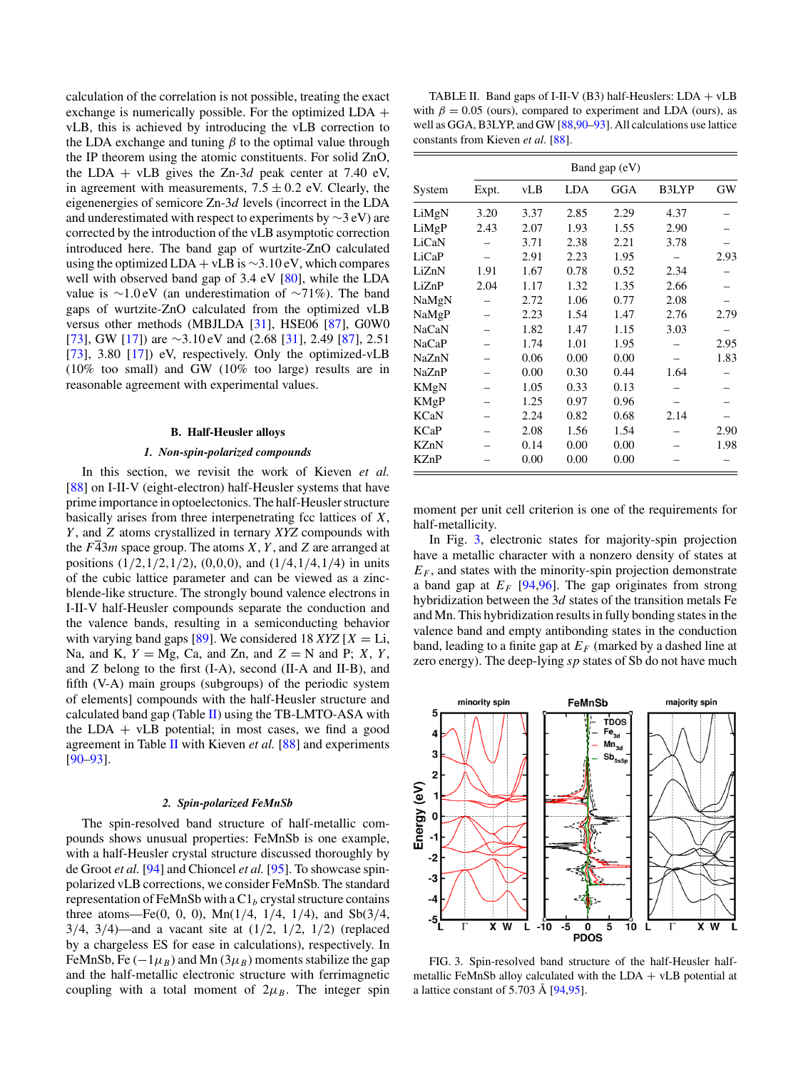<span id="page-4-0"></span>calculation of the correlation is not possible, treating the exact exchange is numerically possible. For the optimized LDA + vLB, this is achieved by introducing the vLB correction to the LDA exchange and tuning  $\beta$  to the optimal value through the IP theorem using the atomic constituents. For solid ZnO, the LDA + vLB gives the Zn-3*d* peak center at 7.40 eV, in agreement with measurements,  $7.5 \pm 0.2$  eV. Clearly, the eigenenergies of semicore Zn-3*d* levels (incorrect in the LDA and underestimated with respect to experiments by  $\sim$ 3 eV) are corrected by the introduction of the vLB asymptotic correction introduced here. The band gap of wurtzite-ZnO calculated using the optimized LDA + vLB is ∼3*.*10 eV, which compares well with observed band gap of 3.4 eV [\[80\]](#page-7-0), while the LDA value is ∼1*.*0 eV (an underestimation of ∼71%). The band gaps of wurtzite-ZnO calculated from the optimized vLB versus other methods (MBJLDA [\[31\]](#page-6-0), HSE06 [\[87\]](#page-7-0), G0W0 [\[73\]](#page-6-0), GW [\[17\]](#page-6-0)) are ∼3*.*10 eV and (2.68 [\[31\]](#page-6-0), 2.49 [\[87\]](#page-7-0), 2.51 [\[73\]](#page-6-0), 3.80 [\[17\]](#page-6-0)) eV, respectively. Only the optimized-vLB (10% too small) and GW (10% too large) results are in reasonable agreement with experimental values.

### **B. Half-Heusler alloys**

### *1. Non-spin-polarized compounds*

In this section, we revisit the work of Kieven *et al.* [\[88\]](#page-7-0) on I-II-V (eight-electron) half-Heusler systems that have prime importance in optoelectonics. The half-Heusler structure basically arises from three interpenetrating fcc lattices of *X*, *Y* , and *Z* atoms crystallized in ternary *XYZ* compounds with the  $F\overline{43}m$  space group. The atoms *X*, *Y*, and *Z* are arranged at positions (1*/*2*,*1*/*2*,*1*/*2), (0*,*0*,*0), and (1*/*4*,*1*/*4*,*1*/*4) in units of the cubic lattice parameter and can be viewed as a zincblende-like structure. The strongly bound valence electrons in I-II-V half-Heusler compounds separate the conduction and the valence bands, resulting in a semiconducting behavior with varying band gaps  $[89]$ . We considered 18 *XYZ*  $[X = Li$ , Na, and K,  $Y = Mg$ , Ca, and Zn, and  $Z = N$  and P; X, Y, and *Z* belong to the first (I-A), second (II-A and II-B), and fifth (V-A) main groups (subgroups) of the periodic system of elements] compounds with the half-Heusler structure and calculated band gap (Table II) using the TB-LMTO-ASA with the LDA  $+$  vLB potential; in most cases, we find a good agreement in Table II with Kieven *et al.* [\[88\]](#page-7-0) and experiments [\[90–93\]](#page-7-0).

### *2. Spin-polarized FeMnSb*

The spin-resolved band structure of half-metallic compounds shows unusual properties: FeMnSb is one example, with a half-Heusler crystal structure discussed thoroughly by de Groot *et al.* [\[94\]](#page-7-0) and Chioncel *et al.* [\[95\]](#page-7-0). To showcase spinpolarized vLB corrections, we consider FeMnSb. The standard representation of FeMnSb with a  $Cl<sub>b</sub>$  crystal structure contains three atoms—Fe(0, 0, 0), Mn(1*/*4, 1*/*4, 1*/*4), and Sb(3*/*4, 3*/*4, 3*/*4)—and a vacant site at (1*/*2, 1*/*2, 1*/*2) (replaced by a chargeless ES for ease in calculations), respectively. In FeMnSb, Fe  $(-1\mu_B)$  and Mn  $(3\mu_B)$  moments stabilize the gap and the half-metallic electronic structure with ferrimagnetic coupling with a total moment of  $2\mu_B$ . The integer spin

TABLE II. Band gaps of I-II-V (B3) half-Heuslers:  $LDA + vLB$ with  $\beta = 0.05$  (ours), compared to experiment and LDA (ours), as well as GGA, B3LYP, and GW [\[88,90–93\]](#page-7-0). All calculations use lattice constants from Kieven *et al.* [\[88\]](#page-7-0).

|        | Band gap (eV) |      |            |      |       |      |
|--------|---------------|------|------------|------|-------|------|
| System | Expt.         | vLB  | <b>LDA</b> | GGA  | B3LYP | GW   |
| LiMgN  | 3.20          | 3.37 | 2.85       | 2.29 | 4.37  |      |
| LiMgP  | 2.43          | 2.07 | 1.93       | 1.55 | 2.90  |      |
| LiCaN  |               | 3.71 | 2.38       | 2.21 | 3.78  |      |
| LiCaP  |               | 2.91 | 2.23       | 1.95 |       | 2.93 |
| LiZnN  | 1.91          | 1.67 | 0.78       | 0.52 | 2.34  |      |
| LiZnP  | 2.04          | 1.17 | 1.32       | 1.35 | 2.66  |      |
| NaMgN  |               | 2.72 | 1.06       | 0.77 | 2.08  |      |
| NaMgP  |               | 2.23 | 1.54       | 1.47 | 2.76  | 2.79 |
| NaCaN  |               | 1.82 | 1.47       | 1.15 | 3.03  |      |
| NaCaP  |               | 1.74 | 1.01       | 1.95 |       | 2.95 |
| NaZnN  |               | 0.06 | 0.00       | 0.00 |       | 1.83 |
| NaZnP  |               | 0.00 | 0.30       | 0.44 | 1.64  |      |
| KMgN   |               | 1.05 | 0.33       | 0.13 |       |      |
| KMgP   |               | 1.25 | 0.97       | 0.96 |       |      |
| KCaN   |               | 2.24 | 0.82       | 0.68 | 2.14  |      |
| KCaP   |               | 2.08 | 1.56       | 1.54 |       | 2.90 |
| KZnN   |               | 0.14 | 0.00       | 0.00 |       | 1.98 |
| KZnP   |               | 0.00 | 0.00       | 0.00 |       |      |

moment per unit cell criterion is one of the requirements for half-metallicity.

In Fig. 3, electronic states for majority-spin projection have a metallic character with a nonzero density of states at  $E_F$ , and states with the minority-spin projection demonstrate a band gap at  $E_F$  [\[94,96\]](#page-7-0). The gap originates from strong hybridization between the 3*d* states of the transition metals Fe and Mn. This hybridization results in fully bonding states in the valence band and empty antibonding states in the conduction band, leading to a finite gap at  $E_F$  (marked by a dashed line at zero energy). The deep-lying *sp* states of Sb do not have much



FIG. 3. Spin-resolved band structure of the half-Heusler halfmetallic FeMnSb alloy calculated with the  $LDA + vLB$  potential at a lattice constant of  $5.703 \text{ Å}$  [ $94,95$ ].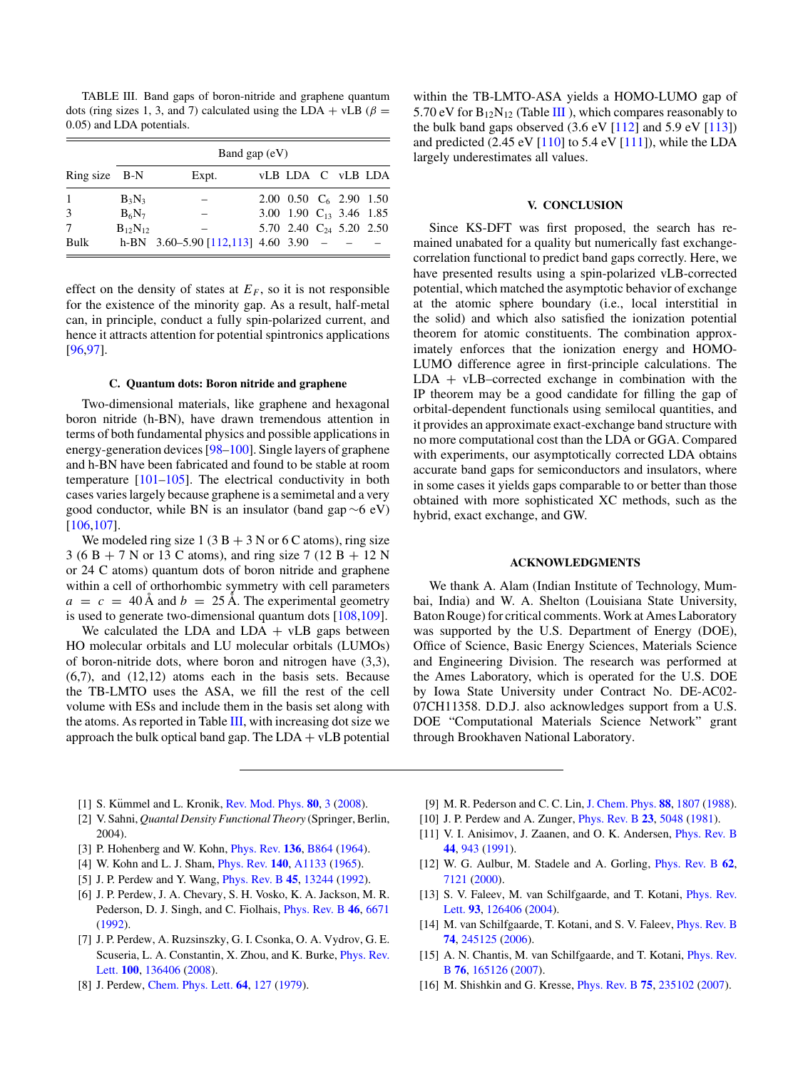<span id="page-5-0"></span>TABLE III. Band gaps of boron-nitride and graphene quantum dots (ring sizes 1, 3, and 7) calculated using the LDA + vLB ( $\beta$  = 0*.*05) and LDA potentials.

|               | Band gap $(eV)$ |                                            |  |                              |  |  |  |  |  |
|---------------|-----------------|--------------------------------------------|--|------------------------------|--|--|--|--|--|
| Ring size B-N |                 | Expt.                                      |  | <b>VLB LDA C VLB LDA</b>     |  |  |  |  |  |
| $\mathbf{1}$  | $B_3N_3$        |                                            |  | 2.00 0.50 $C_6$ 2.90 1.50    |  |  |  |  |  |
| 3             | $B_6N_7$        |                                            |  | 3.00 1.90 $C_{13}$ 3.46 1.85 |  |  |  |  |  |
| 7             | $B_{12}N_{12}$  |                                            |  | 5.70 2.40 $C_{24}$ 5.20 2.50 |  |  |  |  |  |
| Bulk          |                 | h-BN $3.60 - 5.90$ [112,113] $4.60$ 3.90 - |  |                              |  |  |  |  |  |

effect on the density of states at  $E_F$ , so it is not responsible for the existence of the minority gap. As a result, half-metal can, in principle, conduct a fully spin-polarized current, and hence it attracts attention for potential spintronics applications [\[96,97\]](#page-7-0).

### **C. Quantum dots: Boron nitride and graphene**

Two-dimensional materials, like graphene and hexagonal boron nitride (h-BN), have drawn tremendous attention in terms of both fundamental physics and possible applications in energy-generation devices [\[98–100\]](#page-7-0). Single layers of graphene and h-BN have been fabricated and found to be stable at room temperature [\[101–105\]](#page-7-0). The electrical conductivity in both cases varies largely because graphene is a semimetal and a very good conductor, while BN is an insulator (band gap ∼6 eV) [\[106,107\]](#page-7-0).

We modeled ring size  $1(3 B + 3 N or 6 C atoms)$ , ring size 3 (6 B + 7 N or 13 C atoms), and ring size 7 (12 B + 12 N or 24 C atoms) quantum dots of boron nitride and graphene within a cell of orthorhombic symmetry with cell parameters  $a = c = 40$  A and  $b = 25$  A. The experimental geometry is used to generate two-dimensional quantum dots [\[108,109\]](#page-7-0).

We calculated the LDA and  $LDA + vLB$  gaps between HO molecular orbitals and LU molecular orbitals (LUMOs) of boron-nitride dots, where boron and nitrogen have (3,3),  $(6,7)$ , and  $(12,12)$  atoms each in the basis sets. Because the TB-LMTO uses the ASA, we fill the rest of the cell volume with ESs and include them in the basis set along with the atoms. As reported in Table [III,](#page-4-0) with increasing dot size we approach the bulk optical band gap. The  $LDA + vLB$  potential within the TB-LMTO-ASA yields a HOMO-LUMO gap of 5.70 eV for  $B_{12}N_{12}$  (Table III), which compares reasonably to the bulk band gaps observed  $(3.6 \text{ eV} [112] \text{ and } 5.9 \text{ eV} [113])$  $(3.6 \text{ eV} [112] \text{ and } 5.9 \text{ eV} [113])$  $(3.6 \text{ eV} [112] \text{ and } 5.9 \text{ eV} [113])$  $(3.6 \text{ eV} [112] \text{ and } 5.9 \text{ eV} [113])$  $(3.6 \text{ eV} [112] \text{ and } 5.9 \text{ eV} [113])$ and predicted  $(2.45 \text{ eV} [110]$  $(2.45 \text{ eV} [110]$  to 5.4 eV  $[111]$ ), while the LDA largely underestimates all values.

# **V. CONCLUSION**

Since KS-DFT was first proposed, the search has remained unabated for a quality but numerically fast exchangecorrelation functional to predict band gaps correctly. Here, we have presented results using a spin-polarized vLB-corrected potential, which matched the asymptotic behavior of exchange at the atomic sphere boundary (i.e., local interstitial in the solid) and which also satisfied the ionization potential theorem for atomic constituents. The combination approximately enforces that the ionization energy and HOMO-LUMO difference agree in first-principle calculations. The  $LDA + vLB-corrected exchange$  in combination with the IP theorem may be a good candidate for filling the gap of orbital-dependent functionals using semilocal quantities, and it provides an approximate exact-exchange band structure with no more computational cost than the LDA or GGA. Compared with experiments, our asymptotically corrected LDA obtains accurate band gaps for semiconductors and insulators, where in some cases it yields gaps comparable to or better than those obtained with more sophisticated XC methods, such as the hybrid, exact exchange, and GW.

### **ACKNOWLEDGMENTS**

We thank A. Alam (Indian Institute of Technology, Mumbai, India) and W. A. Shelton (Louisiana State University, Baton Rouge) for critical comments. Work at Ames Laboratory was supported by the U.S. Department of Energy (DOE), Office of Science, Basic Energy Sciences, Materials Science and Engineering Division. The research was performed at the Ames Laboratory, which is operated for the U.S. DOE by Iowa State University under Contract No. DE-AC02- 07CH11358. D.D.J. also acknowledges support from a U.S. DOE "Computational Materials Science Network" grant through Brookhaven National Laboratory.

- [1] S. Kümmel and L. Kronik, [Rev. Mod. Phys.](http://dx.doi.org/10.1103/RevModPhys.80.3) **[80](http://dx.doi.org/10.1103/RevModPhys.80.3)**, [3](http://dx.doi.org/10.1103/RevModPhys.80.3) [\(2008\)](http://dx.doi.org/10.1103/RevModPhys.80.3).
- [2] V. Sahni, *Quantal Density Functional Theory* (Springer, Berlin, 2004).
- [3] P. Hohenberg and W. Kohn, [Phys. Rev.](http://dx.doi.org/10.1103/PhysRev.136.B864) **[136](http://dx.doi.org/10.1103/PhysRev.136.B864)**, [B864](http://dx.doi.org/10.1103/PhysRev.136.B864) [\(1964\)](http://dx.doi.org/10.1103/PhysRev.136.B864).
- [4] W. Kohn and L. J. Sham, [Phys. Rev.](http://dx.doi.org/10.1103/PhysRev.140.A1133) **[140](http://dx.doi.org/10.1103/PhysRev.140.A1133)**, [A1133](http://dx.doi.org/10.1103/PhysRev.140.A1133) [\(1965\)](http://dx.doi.org/10.1103/PhysRev.140.A1133).
- [5] J. P. Perdew and Y. Wang, [Phys. Rev. B](http://dx.doi.org/10.1103/PhysRevB.45.13244) **[45](http://dx.doi.org/10.1103/PhysRevB.45.13244)**, [13244](http://dx.doi.org/10.1103/PhysRevB.45.13244) [\(1992\)](http://dx.doi.org/10.1103/PhysRevB.45.13244).
- [6] J. P. Perdew, J. A. Chevary, S. H. Vosko, K. A. Jackson, M. R.
- Pederson, D. J. Singh, and C. Fiolhais, [Phys. Rev. B](http://dx.doi.org/10.1103/PhysRevB.46.6671) **[46](http://dx.doi.org/10.1103/PhysRevB.46.6671)**, [6671](http://dx.doi.org/10.1103/PhysRevB.46.6671) [\(1992\)](http://dx.doi.org/10.1103/PhysRevB.46.6671).
- [7] J. P. Perdew, A. Ruzsinszky, G. I. Csonka, O. A. Vydrov, G. E. [Scuseria, L. A. Constantin, X. Zhou, and K. Burke,](http://dx.doi.org/10.1103/PhysRevLett.100.136406) Phys. Rev. Lett. **[100](http://dx.doi.org/10.1103/PhysRevLett.100.136406)**, [136406](http://dx.doi.org/10.1103/PhysRevLett.100.136406) [\(2008\)](http://dx.doi.org/10.1103/PhysRevLett.100.136406).
- [8] J. Perdew, [Chem. Phys. Lett.](http://dx.doi.org/10.1016/0009-2614(79)87292-9) **[64](http://dx.doi.org/10.1016/0009-2614(79)87292-9)**, [127](http://dx.doi.org/10.1016/0009-2614(79)87292-9) [\(1979\)](http://dx.doi.org/10.1016/0009-2614(79)87292-9).
- [9] M. R. Pederson and C. C. Lin, [J. Chem. Phys.](http://dx.doi.org/10.1063/1.454104) **[88](http://dx.doi.org/10.1063/1.454104)**, [1807](http://dx.doi.org/10.1063/1.454104) [\(1988\)](http://dx.doi.org/10.1063/1.454104).
- [10] J. P. Perdew and A. Zunger, [Phys. Rev. B](http://dx.doi.org/10.1103/PhysRevB.23.5048) **[23](http://dx.doi.org/10.1103/PhysRevB.23.5048)**, [5048](http://dx.doi.org/10.1103/PhysRevB.23.5048) [\(1981\)](http://dx.doi.org/10.1103/PhysRevB.23.5048).
- [11] V. I. Anisimov, J. Zaanen, and O. K. Andersen, *[Phys. Rev. B](http://dx.doi.org/10.1103/PhysRevB.44.943)* **[44](http://dx.doi.org/10.1103/PhysRevB.44.943)**, [943](http://dx.doi.org/10.1103/PhysRevB.44.943) [\(1991\)](http://dx.doi.org/10.1103/PhysRevB.44.943).
- [12] W. G. Aulbur, M. Stadele and A. Gorling, [Phys. Rev. B](http://dx.doi.org/10.1103/PhysRevB.62.7121) **[62](http://dx.doi.org/10.1103/PhysRevB.62.7121)**, [7121](http://dx.doi.org/10.1103/PhysRevB.62.7121) [\(2000\)](http://dx.doi.org/10.1103/PhysRevB.62.7121).
- [13] [S. V. Faleev, M. van Schilfgaarde, and T. Kotani,](http://dx.doi.org/10.1103/PhysRevLett.93.126406) Phys. Rev. Lett. **[93](http://dx.doi.org/10.1103/PhysRevLett.93.126406)**, [126406](http://dx.doi.org/10.1103/PhysRevLett.93.126406) [\(2004\)](http://dx.doi.org/10.1103/PhysRevLett.93.126406).
- [14] M. van Schilfgaarde, T. Kotani, and S. V. Faleev, *[Phys. Rev. B](http://dx.doi.org/10.1103/PhysRevB.74.245125)* **[74](http://dx.doi.org/10.1103/PhysRevB.74.245125)**, [245125](http://dx.doi.org/10.1103/PhysRevB.74.245125) [\(2006\)](http://dx.doi.org/10.1103/PhysRevB.74.245125).
- [15] [A. N. Chantis, M. van Schilfgaarde, and T. Kotani,](http://dx.doi.org/10.1103/PhysRevB.76.165126) Phys. Rev. B **[76](http://dx.doi.org/10.1103/PhysRevB.76.165126)**, [165126](http://dx.doi.org/10.1103/PhysRevB.76.165126) [\(2007\)](http://dx.doi.org/10.1103/PhysRevB.76.165126).
- [16] M. Shishkin and G. Kresse, [Phys. Rev. B](http://dx.doi.org/10.1103/PhysRevB.75.235102) **[75](http://dx.doi.org/10.1103/PhysRevB.75.235102)**, [235102](http://dx.doi.org/10.1103/PhysRevB.75.235102) [\(2007\)](http://dx.doi.org/10.1103/PhysRevB.75.235102).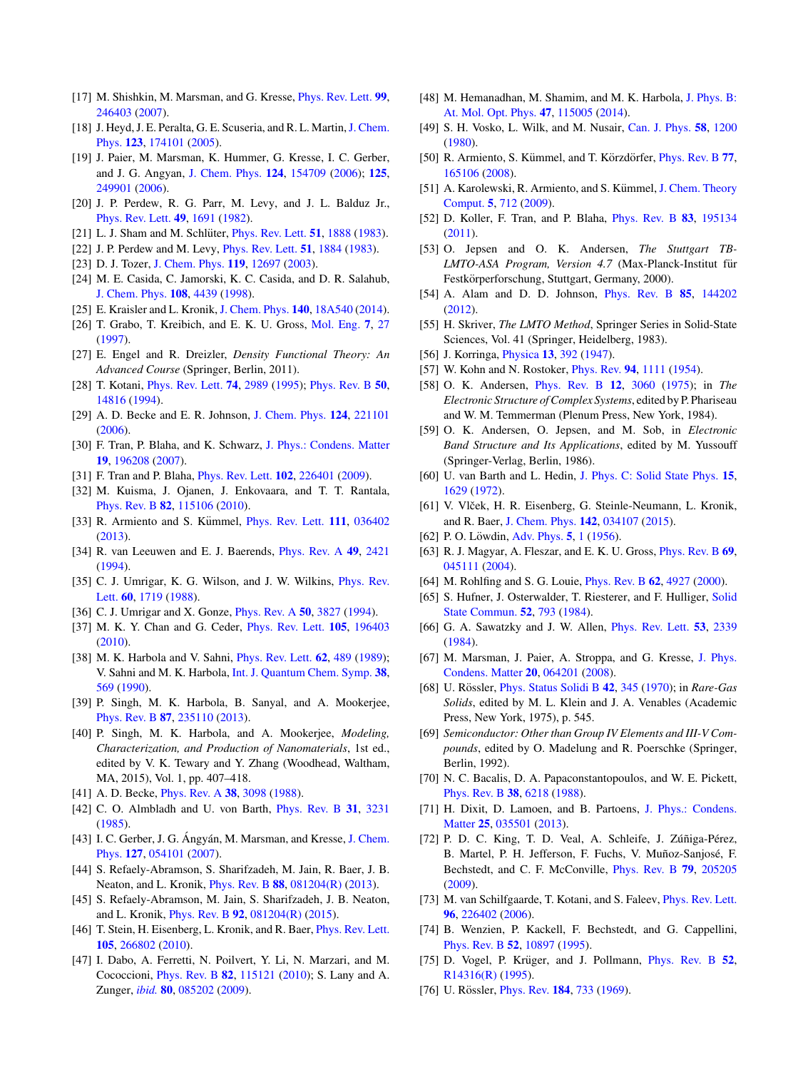- <span id="page-6-0"></span>[17] M. Shishkin, M. Marsman, and G. Kresse, [Phys. Rev. Lett.](http://dx.doi.org/10.1103/PhysRevLett.99.246403) **[99](http://dx.doi.org/10.1103/PhysRevLett.99.246403)**, [246403](http://dx.doi.org/10.1103/PhysRevLett.99.246403) [\(2007\)](http://dx.doi.org/10.1103/PhysRevLett.99.246403).
- [18] J. Heyd, J. E. Peralta, G. E. Scuseria, and R. L. Martin, J. Chem. Phys. **[123](http://dx.doi.org/10.1063/1.2085170)**, [174101](http://dx.doi.org/10.1063/1.2085170) [\(2005\)](http://dx.doi.org/10.1063/1.2085170).
- [19] J. Paier, M. Marsman, K. Hummer, G. Kresse, I. C. Gerber, and J. G. Angyan, [J. Chem. Phys.](http://dx.doi.org/10.1063/1.2187006) **[124](http://dx.doi.org/10.1063/1.2187006)**, [154709](http://dx.doi.org/10.1063/1.2187006) [\(2006\)](http://dx.doi.org/10.1063/1.2187006); **[125](http://dx.doi.org/10.1063/1.2403866)**, [249901](http://dx.doi.org/10.1063/1.2403866) [\(2006\)](http://dx.doi.org/10.1063/1.2403866).
- [20] J. P. Perdew, R. G. Parr, M. Levy, and J. L. Balduz Jr., [Phys. Rev. Lett.](http://dx.doi.org/10.1103/PhysRevLett.49.1691) **[49](http://dx.doi.org/10.1103/PhysRevLett.49.1691)**, [1691](http://dx.doi.org/10.1103/PhysRevLett.49.1691) [\(1982\)](http://dx.doi.org/10.1103/PhysRevLett.49.1691).
- [21] L. J. Sham and M. Schlüter, *[Phys. Rev. Lett.](http://dx.doi.org/10.1103/PhysRevLett.51.1888)* **[51](http://dx.doi.org/10.1103/PhysRevLett.51.1888)**, [1888](http://dx.doi.org/10.1103/PhysRevLett.51.1888) [\(1983\)](http://dx.doi.org/10.1103/PhysRevLett.51.1888).
- [22] J. P. Perdew and M. Levy, [Phys. Rev. Lett.](http://dx.doi.org/10.1103/PhysRevLett.51.1884) **[51](http://dx.doi.org/10.1103/PhysRevLett.51.1884)**, [1884](http://dx.doi.org/10.1103/PhysRevLett.51.1884) [\(1983\)](http://dx.doi.org/10.1103/PhysRevLett.51.1884).
- [23] D. J. Tozer, [J. Chem. Phys.](http://dx.doi.org/10.1063/1.1633756) **[119](http://dx.doi.org/10.1063/1.1633756)**, [12697](http://dx.doi.org/10.1063/1.1633756) [\(2003\)](http://dx.doi.org/10.1063/1.1633756).
- [24] M. E. Casida, C. Jamorski, K. C. Casida, and D. R. Salahub, [J. Chem. Phys.](http://dx.doi.org/10.1063/1.475855) **[108](http://dx.doi.org/10.1063/1.475855)**, [4439](http://dx.doi.org/10.1063/1.475855) [\(1998\)](http://dx.doi.org/10.1063/1.475855).
- [25] E. Kraisler and L. Kronik, [J. Chem. Phys.](http://dx.doi.org/10.1063/1.4871462) **[140](http://dx.doi.org/10.1063/1.4871462)**, [18A540](http://dx.doi.org/10.1063/1.4871462) [\(2014\)](http://dx.doi.org/10.1063/1.4871462).
- [26] T. Grabo, T. Kreibich, and E. K. U. Gross, [Mol. Eng.](http://dx.doi.org/10.1023/A:1008218128189) **[7](http://dx.doi.org/10.1023/A:1008218128189)**, [27](http://dx.doi.org/10.1023/A:1008218128189) [\(1997\)](http://dx.doi.org/10.1023/A:1008218128189).
- [27] E. Engel and R. Dreizler, *Density Functional Theory: An Advanced Course* (Springer, Berlin, 2011).
- [28] T. Kotani, [Phys. Rev. Lett.](http://dx.doi.org/10.1103/PhysRevLett.74.2989) **[74](http://dx.doi.org/10.1103/PhysRevLett.74.2989)**, [2989](http://dx.doi.org/10.1103/PhysRevLett.74.2989) [\(1995\)](http://dx.doi.org/10.1103/PhysRevLett.74.2989); [Phys. Rev. B](http://dx.doi.org/10.1103/PhysRevB.50.14816) **[50](http://dx.doi.org/10.1103/PhysRevB.50.14816)**, [14816](http://dx.doi.org/10.1103/PhysRevB.50.14816) [\(1994\)](http://dx.doi.org/10.1103/PhysRevB.50.14816).
- [29] A. D. Becke and E. R. Johnson, [J. Chem. Phys.](http://dx.doi.org/10.1063/1.2213970) **[124](http://dx.doi.org/10.1063/1.2213970)**, [221101](http://dx.doi.org/10.1063/1.2213970) [\(2006\)](http://dx.doi.org/10.1063/1.2213970).
- [30] F. Tran, P. Blaha, and K. Schwarz, [J. Phys.: Condens. Matter](http://dx.doi.org/10.1088/0953-8984/19/19/196208) **[19](http://dx.doi.org/10.1088/0953-8984/19/19/196208)**, [196208](http://dx.doi.org/10.1088/0953-8984/19/19/196208) [\(2007\)](http://dx.doi.org/10.1088/0953-8984/19/19/196208).
- [31] F. Tran and P. Blaha, [Phys. Rev. Lett.](http://dx.doi.org/10.1103/PhysRevLett.102.226401) **[102](http://dx.doi.org/10.1103/PhysRevLett.102.226401)**, [226401](http://dx.doi.org/10.1103/PhysRevLett.102.226401) [\(2009\)](http://dx.doi.org/10.1103/PhysRevLett.102.226401).
- [32] M. Kuisma, J. Ojanen, J. Enkovaara, and T. T. Rantala, [Phys. Rev. B](http://dx.doi.org/10.1103/PhysRevB.82.115106) **[82](http://dx.doi.org/10.1103/PhysRevB.82.115106)**, [115106](http://dx.doi.org/10.1103/PhysRevB.82.115106) [\(2010\)](http://dx.doi.org/10.1103/PhysRevB.82.115106).
- [33] R. Armiento and S. Kümmel, *[Phys. Rev. Lett.](http://dx.doi.org/10.1103/PhysRevLett.111.036402)* **[111](http://dx.doi.org/10.1103/PhysRevLett.111.036402)**, [036402](http://dx.doi.org/10.1103/PhysRevLett.111.036402) [\(2013\)](http://dx.doi.org/10.1103/PhysRevLett.111.036402).
- [34] R. van Leeuwen and E. J. Baerends, [Phys. Rev. A](http://dx.doi.org/10.1103/PhysRevA.49.2421) **[49](http://dx.doi.org/10.1103/PhysRevA.49.2421)**, [2421](http://dx.doi.org/10.1103/PhysRevA.49.2421) [\(1994\)](http://dx.doi.org/10.1103/PhysRevA.49.2421).
- [35] [C. J. Umrigar, K. G. Wilson, and J. W. Wilkins,](http://dx.doi.org/10.1103/PhysRevLett.60.1719) *Phys. Rev.* Lett. **[60](http://dx.doi.org/10.1103/PhysRevLett.60.1719)**, [1719](http://dx.doi.org/10.1103/PhysRevLett.60.1719) [\(1988\)](http://dx.doi.org/10.1103/PhysRevLett.60.1719).
- [36] C. J. Umrigar and X. Gonze, [Phys. Rev. A](http://dx.doi.org/10.1103/PhysRevA.50.3827) **[50](http://dx.doi.org/10.1103/PhysRevA.50.3827)**, [3827](http://dx.doi.org/10.1103/PhysRevA.50.3827) [\(1994\)](http://dx.doi.org/10.1103/PhysRevA.50.3827).
- [37] M. K. Y. Chan and G. Ceder, [Phys. Rev. Lett.](http://dx.doi.org/10.1103/PhysRevLett.105.196403) **[105](http://dx.doi.org/10.1103/PhysRevLett.105.196403)**, [196403](http://dx.doi.org/10.1103/PhysRevLett.105.196403) [\(2010\)](http://dx.doi.org/10.1103/PhysRevLett.105.196403).
- [38] M. K. Harbola and V. Sahni, [Phys. Rev. Lett.](http://dx.doi.org/10.1103/PhysRevLett.62.489) **[62](http://dx.doi.org/10.1103/PhysRevLett.62.489)**, [489](http://dx.doi.org/10.1103/PhysRevLett.62.489) [\(1989\)](http://dx.doi.org/10.1103/PhysRevLett.62.489); V. Sahni and M. K. Harbola, [Int. J. Quantum Chem. Symp.](http://dx.doi.org/10.1002/qua.560382456) **[38](http://dx.doi.org/10.1002/qua.560382456)**, [569](http://dx.doi.org/10.1002/qua.560382456) [\(1990\)](http://dx.doi.org/10.1002/qua.560382456).
- [39] P. Singh, M. K. Harbola, B. Sanyal, and A. Mookerjee, [Phys. Rev. B](http://dx.doi.org/10.1103/PhysRevB.87.235110) **[87](http://dx.doi.org/10.1103/PhysRevB.87.235110)**, [235110](http://dx.doi.org/10.1103/PhysRevB.87.235110) [\(2013\)](http://dx.doi.org/10.1103/PhysRevB.87.235110).
- [40] P. Singh, M. K. Harbola, and A. Mookerjee, *Modeling, Characterization, and Production of Nanomaterials*, 1st ed., edited by V. K. Tewary and Y. Zhang (Woodhead, Waltham, MA, 2015), Vol. 1, pp. 407–418.
- [41] A. D. Becke, [Phys. Rev. A](http://dx.doi.org/10.1103/PhysRevA.38.3098) **[38](http://dx.doi.org/10.1103/PhysRevA.38.3098)**, [3098](http://dx.doi.org/10.1103/PhysRevA.38.3098) [\(1988\)](http://dx.doi.org/10.1103/PhysRevA.38.3098).
- [42] C. O. Almbladh and U. von Barth, [Phys. Rev. B](http://dx.doi.org/10.1103/PhysRevB.31.3231) **[31](http://dx.doi.org/10.1103/PhysRevB.31.3231)**, [3231](http://dx.doi.org/10.1103/PhysRevB.31.3231) [\(1985\)](http://dx.doi.org/10.1103/PhysRevB.31.3231).
- [43] I. C. Gerber, J. G. Ángyán, M. Marsman, and Kresse, J. Chem. Phys. **[127](http://dx.doi.org/10.1063/1.2759209)**, [054101](http://dx.doi.org/10.1063/1.2759209) [\(2007\)](http://dx.doi.org/10.1063/1.2759209).
- [44] S. Refaely-Abramson, S. Sharifzadeh, M. Jain, R. Baer, J. B. Neaton, and L. Kronik, [Phys. Rev. B](http://dx.doi.org/10.1103/PhysRevB.88.081204) **[88](http://dx.doi.org/10.1103/PhysRevB.88.081204)**, [081204\(R\)](http://dx.doi.org/10.1103/PhysRevB.88.081204) [\(2013\)](http://dx.doi.org/10.1103/PhysRevB.88.081204).
- [45] S. Refaely-Abramson, M. Jain, S. Sharifzadeh, J. B. Neaton, and L. Kronik, [Phys. Rev. B](http://dx.doi.org/10.1103/PhysRevB.92.081204) **[92](http://dx.doi.org/10.1103/PhysRevB.92.081204)**, [081204\(R\)](http://dx.doi.org/10.1103/PhysRevB.92.081204) [\(2015\)](http://dx.doi.org/10.1103/PhysRevB.92.081204).
- [46] T. Stein, H. Eisenberg, L. Kronik, and R. Baer, *[Phys. Rev. Lett.](http://dx.doi.org/10.1103/PhysRevLett.105.266802)* **[105](http://dx.doi.org/10.1103/PhysRevLett.105.266802)**, [266802](http://dx.doi.org/10.1103/PhysRevLett.105.266802) [\(2010\)](http://dx.doi.org/10.1103/PhysRevLett.105.266802).
- [47] I. Dabo, A. Ferretti, N. Poilvert, Y. Li, N. Marzari, and M. Cococcioni, [Phys. Rev. B](http://dx.doi.org/10.1103/PhysRevB.82.115121) **[82](http://dx.doi.org/10.1103/PhysRevB.82.115121)**, [115121](http://dx.doi.org/10.1103/PhysRevB.82.115121) [\(2010\)](http://dx.doi.org/10.1103/PhysRevB.82.115121); S. Lany and A. Zunger, *[ibid.](http://dx.doi.org/10.1103/PhysRevB.80.085202)* **[80](http://dx.doi.org/10.1103/PhysRevB.80.085202)**, [085202](http://dx.doi.org/10.1103/PhysRevB.80.085202) [\(2009\)](http://dx.doi.org/10.1103/PhysRevB.80.085202).
- [48] [M. Hemanadhan, M. Shamim, and M. K. Harbola,](http://dx.doi.org/10.1088/0953-4075/47/11/115005) J. Phys. B: At. Mol. Opt. Phys. **[47](http://dx.doi.org/10.1088/0953-4075/47/11/115005)**, [115005](http://dx.doi.org/10.1088/0953-4075/47/11/115005) [\(2014\)](http://dx.doi.org/10.1088/0953-4075/47/11/115005).
- [49] S. H. Vosko, L. Wilk, and M. Nusair, [Can. J. Phys.](http://dx.doi.org/10.1139/p80-159) **[58](http://dx.doi.org/10.1139/p80-159)**, [1200](http://dx.doi.org/10.1139/p80-159) [\(1980\)](http://dx.doi.org/10.1139/p80-159).
- [50] R. Armiento, S. Kummel, and T. Körzdörfer, *[Phys. Rev. B](http://dx.doi.org/10.1103/PhysRevB.77.165106)* [77](http://dx.doi.org/10.1103/PhysRevB.77.165106), [165106](http://dx.doi.org/10.1103/PhysRevB.77.165106) [\(2008\)](http://dx.doi.org/10.1103/PhysRevB.77.165106).
- [51] A. Karolewski, R. Armiento, and S. Kümmel, J. Chem. Theory Comput. **[5](http://dx.doi.org/10.1021/ct8005198)**, [712](http://dx.doi.org/10.1021/ct8005198) [\(2009\)](http://dx.doi.org/10.1021/ct8005198).
- [52] D. Koller, F. Tran, and P. Blaha, [Phys. Rev. B](http://dx.doi.org/10.1103/PhysRevB.83.195134) **[83](http://dx.doi.org/10.1103/PhysRevB.83.195134)**, [195134](http://dx.doi.org/10.1103/PhysRevB.83.195134) [\(2011\)](http://dx.doi.org/10.1103/PhysRevB.83.195134).
- [53] O. Jepsen and O. K. Andersen, *The Stuttgart TB-LMTO-ASA Program, Version 4.7* (Max-Planck-Institut für Festkörperforschung, Stuttgart, Germany, 2000).
- [54] A. Alam and D. D. Johnson, [Phys. Rev. B](http://dx.doi.org/10.1103/PhysRevB.85.144202) **[85](http://dx.doi.org/10.1103/PhysRevB.85.144202)**, [144202](http://dx.doi.org/10.1103/PhysRevB.85.144202) [\(2012\)](http://dx.doi.org/10.1103/PhysRevB.85.144202).
- [55] H. Skriver, *The LMTO Method*, Springer Series in Solid-State Sciences, Vol. 41 (Springer, Heidelberg, 1983).
- [56] J. Korringa, [Physica](http://dx.doi.org/10.1016/0031-8914(47)90013-X) **[13](http://dx.doi.org/10.1016/0031-8914(47)90013-X)**, [392](http://dx.doi.org/10.1016/0031-8914(47)90013-X) [\(1947\)](http://dx.doi.org/10.1016/0031-8914(47)90013-X).
- [57] W. Kohn and N. Rostoker, [Phys. Rev.](http://dx.doi.org/10.1103/PhysRev.94.1111) **[94](http://dx.doi.org/10.1103/PhysRev.94.1111)**, [1111](http://dx.doi.org/10.1103/PhysRev.94.1111) [\(1954\)](http://dx.doi.org/10.1103/PhysRev.94.1111).
- [58] O. K. Andersen, [Phys. Rev. B](http://dx.doi.org/10.1103/PhysRevB.12.3060) **[12](http://dx.doi.org/10.1103/PhysRevB.12.3060)**, [3060](http://dx.doi.org/10.1103/PhysRevB.12.3060) [\(1975\)](http://dx.doi.org/10.1103/PhysRevB.12.3060); in *The Electronic Structure of Complex Systems*, edited by P. Phariseau and W. M. Temmerman (Plenum Press, New York, 1984).
- [59] O. K. Andersen, O. Jepsen, and M. Sob, in *Electronic Band Structure and Its Applications*, edited by M. Yussouff (Springer-Verlag, Berlin, 1986).
- [60] U. van Barth and L. Hedin, [J. Phys. C: Solid State Phys.](http://dx.doi.org/10.1088/0022-3719/5/13/012) **[15](http://dx.doi.org/10.1088/0022-3719/5/13/012)**, [1629](http://dx.doi.org/10.1088/0022-3719/5/13/012) [\(1972\)](http://dx.doi.org/10.1088/0022-3719/5/13/012).
- [61] V. Vlček, H. R. Eisenberg, G. Steinle-Neumann, L. Kronik, and R. Baer, [J. Chem. Phys.](http://dx.doi.org/10.1063/1.4905236) **[142](http://dx.doi.org/10.1063/1.4905236)**, [034107](http://dx.doi.org/10.1063/1.4905236) [\(2015\)](http://dx.doi.org/10.1063/1.4905236).
- [62] P. O. Löwdin, [Adv. Phys.](http://dx.doi.org/10.1080/00018735600101155) **[5](http://dx.doi.org/10.1080/00018735600101155)**, [1](http://dx.doi.org/10.1080/00018735600101155) [\(1956\)](http://dx.doi.org/10.1080/00018735600101155).
- [63] R. J. Magyar, A. Fleszar, and E. K. U. Gross, [Phys. Rev. B](http://dx.doi.org/10.1103/PhysRevB.69.045111) **[69](http://dx.doi.org/10.1103/PhysRevB.69.045111)**, [045111](http://dx.doi.org/10.1103/PhysRevB.69.045111) [\(2004\)](http://dx.doi.org/10.1103/PhysRevB.69.045111).
- [64] M. Rohlfing and S. G. Louie, [Phys. Rev. B](http://dx.doi.org/10.1103/PhysRevB.62.4927) **[62](http://dx.doi.org/10.1103/PhysRevB.62.4927)**, [4927](http://dx.doi.org/10.1103/PhysRevB.62.4927) [\(2000\)](http://dx.doi.org/10.1103/PhysRevB.62.4927).
- [65] [S. Hufner, J. Osterwalder, T. Riesterer, and F. Hulliger,](http://dx.doi.org/10.1016/0038-1098(84)90007-3) Solid State Commun. **[52](http://dx.doi.org/10.1016/0038-1098(84)90007-3)**, [793](http://dx.doi.org/10.1016/0038-1098(84)90007-3) [\(1984\)](http://dx.doi.org/10.1016/0038-1098(84)90007-3).
- [66] G. A. Sawatzky and J. W. Allen, [Phys. Rev. Lett.](http://dx.doi.org/10.1103/PhysRevLett.53.2339) **[53](http://dx.doi.org/10.1103/PhysRevLett.53.2339)**, [2339](http://dx.doi.org/10.1103/PhysRevLett.53.2339) [\(1984\)](http://dx.doi.org/10.1103/PhysRevLett.53.2339).
- [67] [M. Marsman, J. Paier, A. Stroppa, and G. Kresse,](http://dx.doi.org/10.1088/0953-8984/20/6/064201) J. Phys. Condens. Matter **[20](http://dx.doi.org/10.1088/0953-8984/20/6/064201)**, [064201](http://dx.doi.org/10.1088/0953-8984/20/6/064201) [\(2008\)](http://dx.doi.org/10.1088/0953-8984/20/6/064201).
- [68] U. Rössler, *[Phys. Status Solidi B](http://dx.doi.org/10.1002/pssb.19700420136)* [42](http://dx.doi.org/10.1002/pssb.19700420136), [345](http://dx.doi.org/10.1002/pssb.19700420136) [\(1970\)](http://dx.doi.org/10.1002/pssb.19700420136); in *Rare-Gas Solids*, edited by M. L. Klein and J. A. Venables (Academic Press, New York, 1975), p. 545.
- [69] *Semiconductor: Other than Group IV Elements and III-V Compounds*, edited by O. Madelung and R. Poerschke (Springer, Berlin, 1992).
- [70] N. C. Bacalis, D. A. Papaconstantopoulos, and W. E. Pickett, [Phys. Rev. B](http://dx.doi.org/10.1103/PhysRevB.38.6218) **[38](http://dx.doi.org/10.1103/PhysRevB.38.6218)**, [6218](http://dx.doi.org/10.1103/PhysRevB.38.6218) [\(1988\)](http://dx.doi.org/10.1103/PhysRevB.38.6218).
- [71] [H. Dixit, D. Lamoen, and B. Partoens,](http://dx.doi.org/10.1088/0953-8984/25/3/035501) J. Phys.: Condens. Matter **[25](http://dx.doi.org/10.1088/0953-8984/25/3/035501)**, [035501](http://dx.doi.org/10.1088/0953-8984/25/3/035501) [\(2013\)](http://dx.doi.org/10.1088/0953-8984/25/3/035501).
- [72] P. D. C. King, T. D. Veal, A. Schleife, J. Zúñiga-Pérez, B. Martel, P. H. Jefferson, F. Fuchs, V. Muñoz-Sanjosé, F. Bechstedt, and C. F. McConville, [Phys. Rev. B](http://dx.doi.org/10.1103/PhysRevB.79.205205) **[79](http://dx.doi.org/10.1103/PhysRevB.79.205205)**, [205205](http://dx.doi.org/10.1103/PhysRevB.79.205205) [\(2009\)](http://dx.doi.org/10.1103/PhysRevB.79.205205).
- [73] M. van Schilfgaarde, T. Kotani, and S. Faleev, [Phys. Rev. Lett.](http://dx.doi.org/10.1103/PhysRevLett.96.226402) **[96](http://dx.doi.org/10.1103/PhysRevLett.96.226402)**, [226402](http://dx.doi.org/10.1103/PhysRevLett.96.226402) [\(2006\)](http://dx.doi.org/10.1103/PhysRevLett.96.226402).
- [74] B. Wenzien, P. Kackell, F. Bechstedt, and G. Cappellini, [Phys. Rev. B](http://dx.doi.org/10.1103/PhysRevB.52.10897) **[52](http://dx.doi.org/10.1103/PhysRevB.52.10897)**, [10897](http://dx.doi.org/10.1103/PhysRevB.52.10897) [\(1995\)](http://dx.doi.org/10.1103/PhysRevB.52.10897).
- [75] D. Vogel, P. Krüger, and J. Pollmann, *[Phys. Rev. B](http://dx.doi.org/10.1103/PhysRevB.52.R14316)* [52](http://dx.doi.org/10.1103/PhysRevB.52.R14316), [R14316\(R\)](http://dx.doi.org/10.1103/PhysRevB.52.R14316) [\(1995\)](http://dx.doi.org/10.1103/PhysRevB.52.R14316).
- [76] U. Rössler, *[Phys. Rev.](http://dx.doi.org/10.1103/PhysRev.184.733)* **[184](http://dx.doi.org/10.1103/PhysRev.184.733)**, [733](http://dx.doi.org/10.1103/PhysRev.184.733) [\(1969\)](http://dx.doi.org/10.1103/PhysRev.184.733).